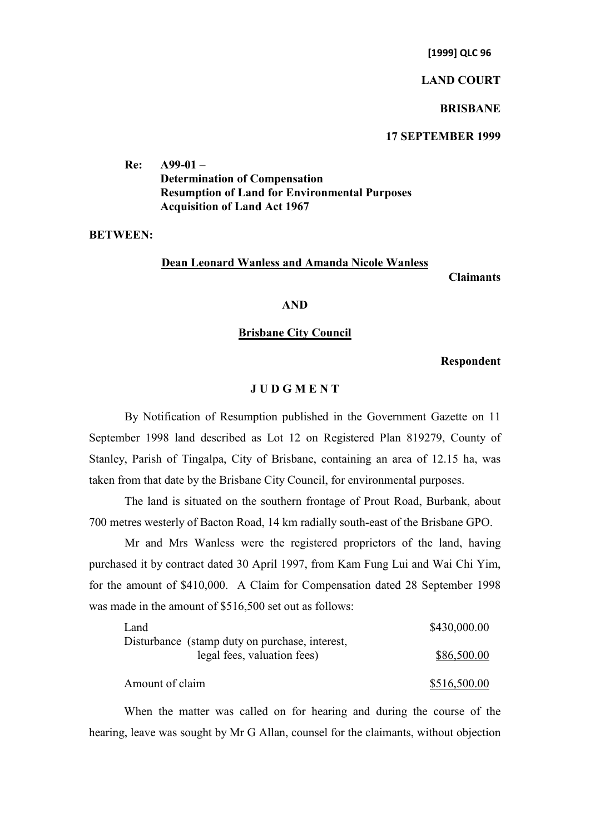**[1999] QLC 96**

### **LAND COURT**

### **BRISBANE**

# **17 SEPTEMBER 1999**

**Re: A99-01 – Determination of Compensation Resumption of Land for Environmental Purposes Acquisition of Land Act 1967**

## **BETWEEN:**

#### **Dean Leonard Wanless and Amanda Nicole Wanless**

**Claimants**

### **AND**

### **Brisbane City Council**

**Respondent**

## **J U D G M E N T**

By Notification of Resumption published in the Government Gazette on 11 September 1998 land described as Lot 12 on Registered Plan 819279, County of Stanley, Parish of Tingalpa, City of Brisbane, containing an area of 12.15 ha, was taken from that date by the Brisbane City Council, for environmental purposes.

The land is situated on the southern frontage of Prout Road, Burbank, about 700 metres westerly of Bacton Road, 14 km radially south-east of the Brisbane GPO.

Mr and Mrs Wanless were the registered proprietors of the land, having purchased it by contract dated 30 April 1997, from Kam Fung Lui and Wai Chi Yim, for the amount of \$410,000. A Claim for Compensation dated 28 September 1998 was made in the amount of \$516,500 set out as follows:

| Land                                           | \$430,000.00 |
|------------------------------------------------|--------------|
| Disturbance (stamp duty on purchase, interest, |              |
| legal fees, valuation fees)                    | \$86,500.00  |
| Amount of claim                                | \$516,500.00 |

When the matter was called on for hearing and during the course of the hearing, leave was sought by Mr G Allan, counsel for the claimants, without objection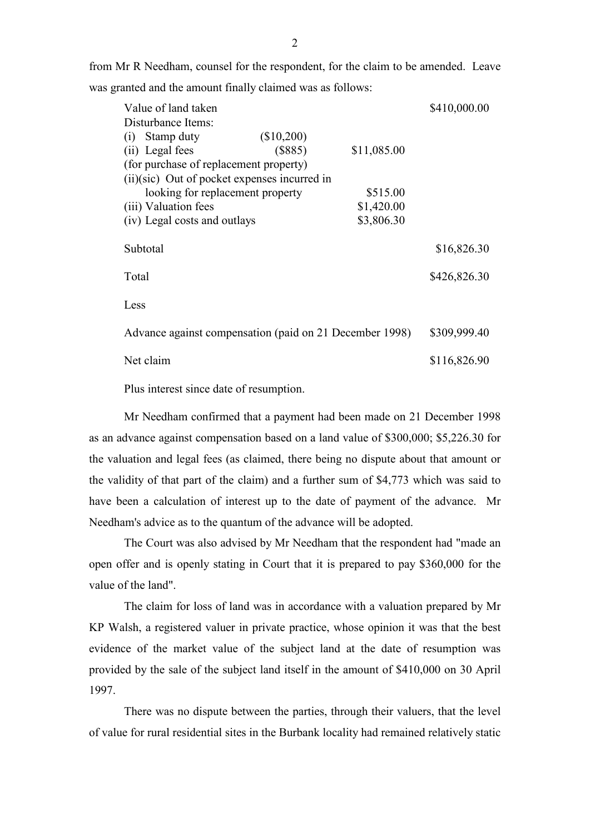from Mr R Needham, counsel for the respondent, for the claim to be amended. Leave was granted and the amount finally claimed was as follows:

|                                                         | Value of land taken                    |              |             | \$410,000.00 |
|---------------------------------------------------------|----------------------------------------|--------------|-------------|--------------|
|                                                         | Disturbance Items:                     |              |             |              |
| (1)                                                     | Stamp duty                             | (\$10,200)   |             |              |
|                                                         | (ii) Legal fees                        | (\$885)      | \$11,085.00 |              |
|                                                         | (for purchase of replacement property) |              |             |              |
| $(ii)(\text{sic})$ Out of pocket expenses incurred in   |                                        |              |             |              |
|                                                         | looking for replacement property       |              | \$515.00    |              |
|                                                         | (iii) Valuation fees                   |              | \$1,420.00  |              |
|                                                         | (iv) Legal costs and outlays           |              | \$3,806.30  |              |
|                                                         | Subtotal                               |              |             | \$16,826.30  |
|                                                         |                                        |              |             |              |
| Total                                                   |                                        |              |             | \$426,826.30 |
| Less                                                    |                                        |              |             |              |
| Advance against compensation (paid on 21 December 1998) |                                        | \$309,999.40 |             |              |
|                                                         | Net claim                              |              |             | \$116,826.90 |

Plus interest since date of resumption.

Mr Needham confirmed that a payment had been made on 21 December 1998 as an advance against compensation based on a land value of \$300,000; \$5,226.30 for the valuation and legal fees (as claimed, there being no dispute about that amount or the validity of that part of the claim) and a further sum of \$4,773 which was said to have been a calculation of interest up to the date of payment of the advance. Mr Needham's advice as to the quantum of the advance will be adopted.

The Court was also advised by Mr Needham that the respondent had "made an open offer and is openly stating in Court that it is prepared to pay \$360,000 for the value of the land".

The claim for loss of land was in accordance with a valuation prepared by Mr KP Walsh, a registered valuer in private practice, whose opinion it was that the best evidence of the market value of the subject land at the date of resumption was provided by the sale of the subject land itself in the amount of \$410,000 on 30 April 1997.

There was no dispute between the parties, through their valuers, that the level of value for rural residential sites in the Burbank locality had remained relatively static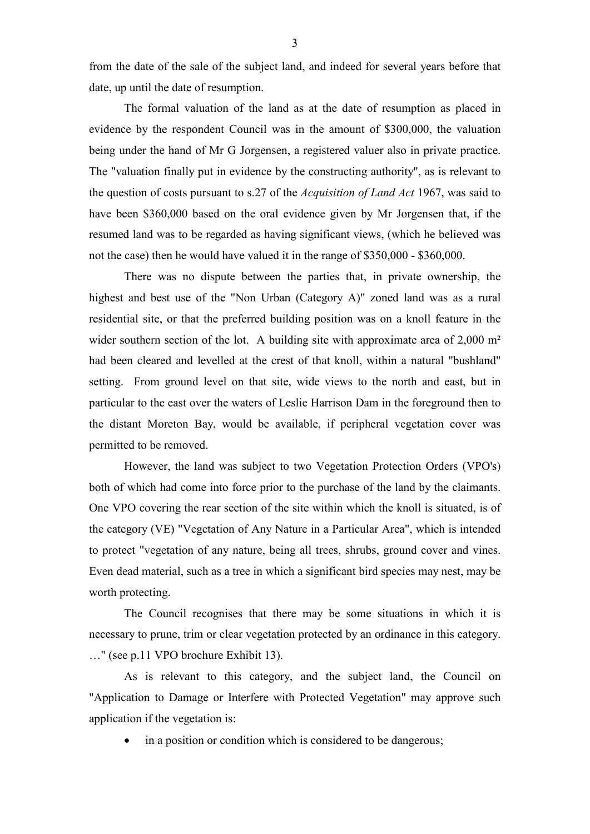from the date of the sale of the subject land, and indeed for several years before that date, up until the date of resumption.

The formal valuation of the land as at the date of resumption as placed in evidence by the respondent Council was in the amount of \$300,000, the valuation being under the hand of Mr G Jorgensen, a registered valuer also in private practice. The "valuation finally put in evidence by the constructing authority", as is relevant to the question of costs pursuant to s.27 of the *Acquisition of Land Act* 1967, was said to have been \$360,000 based on the oral evidence given by Mr Jorgensen that, if the resumed land was to be regarded as having significant views, (which he believed was not the case) then he would have valued it in the range of \$350,000 - \$360,000.

There was no dispute between the parties that, in private ownership, the highest and best use of the "Non Urban (Category A)" zoned land was as a rural residential site, or that the preferred building position was on a knoll feature in the wider southern section of the lot. A building site with approximate area of 2,000 m<sup>2</sup> had been cleared and levelled at the crest of that knoll, within a natural "bushland" setting. From ground level on that site, wide views to the north and east, but in particular to the east over the waters of Leslie Harrison Dam in the foreground then to the distant Moreton Bay, would be available, if peripheral vegetation cover was permitted to be removed.

However, the land was subject to two Vegetation Protection Orders (VPO's) both of which had come into force prior to the purchase of the land by the claimants. One VPO covering the rear section of the site within which the knoll is situated, is of the category (VE) "Vegetation of Any Nature in a Particular Area", which is intended to protect "vegetation of any nature, being all trees, shrubs, ground cover and vines. Even dead material, such as a tree in which a significant bird species may nest, may be worth protecting.

The Council recognises that there may be some situations in which it is necessary to prune, trim or clear vegetation protected by an ordinance in this category. …" (see p.11 VPO brochure Exhibit 13).

As is relevant to this category, and the subject land, the Council on "Application to Damage or Interfere with Protected Vegetation" may approve such application if the vegetation is:

in a position or condition which is considered to be dangerous;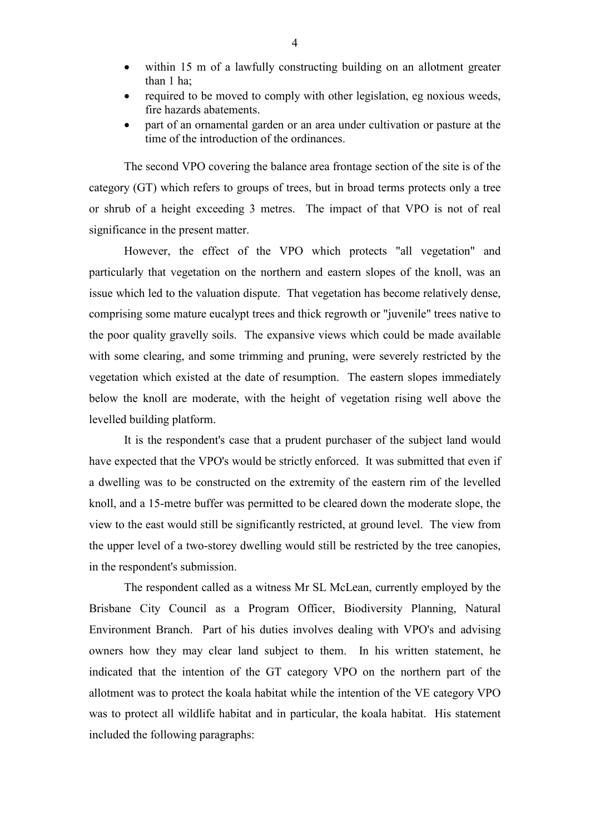- within 15 m of a lawfully constructing building on an allotment greater than 1 ha;
- required to be moved to comply with other legislation, eg noxious weeds, fire hazards abatements.
- part of an ornamental garden or an area under cultivation or pasture at the time of the introduction of the ordinances.

The second VPO covering the balance area frontage section of the site is of the category (GT) which refers to groups of trees, but in broad terms protects only a tree or shrub of a height exceeding 3 metres. The impact of that VPO is not of real significance in the present matter.

However, the effect of the VPO which protects "all vegetation" and particularly that vegetation on the northern and eastern slopes of the knoll, was an issue which led to the valuation dispute. That vegetation has become relatively dense, comprising some mature eucalypt trees and thick regrowth or "juvenile" trees native to the poor quality gravelly soils. The expansive views which could be made available with some clearing, and some trimming and pruning, were severely restricted by the vegetation which existed at the date of resumption. The eastern slopes immediately below the knoll are moderate, with the height of vegetation rising well above the levelled building platform.

It is the respondent's case that a prudent purchaser of the subject land would have expected that the VPO's would be strictly enforced. It was submitted that even if a dwelling was to be constructed on the extremity of the eastern rim of the levelled knoll, and a 15-metre buffer was permitted to be cleared down the moderate slope, the view to the east would still be significantly restricted, at ground level. The view from the upper level of a two-storey dwelling would still be restricted by the tree canopies, in the respondent's submission.

The respondent called as a witness Mr SL McLean, currently employed by the Brisbane City Council as a Program Officer, Biodiversity Planning, Natural Environment Branch. Part of his duties involves dealing with VPO's and advising owners how they may clear land subject to them. In his written statement, he indicated that the intention of the GT category VPO on the northern part of the allotment was to protect the koala habitat while the intention of the VE category VPO was to protect all wildlife habitat and in particular, the koala habitat. His statement included the following paragraphs: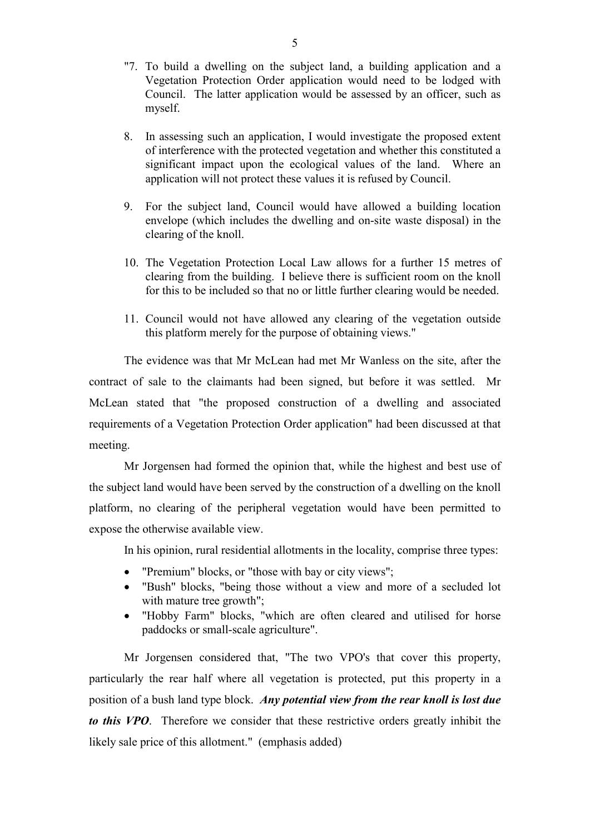- "7. To build a dwelling on the subject land, a building application and a Vegetation Protection Order application would need to be lodged with Council. The latter application would be assessed by an officer, such as myself.
- 8. In assessing such an application, I would investigate the proposed extent of interference with the protected vegetation and whether this constituted a significant impact upon the ecological values of the land. Where an application will not protect these values it is refused by Council.
- 9. For the subject land, Council would have allowed a building location envelope (which includes the dwelling and on-site waste disposal) in the clearing of the knoll.
- 10. The Vegetation Protection Local Law allows for a further 15 metres of clearing from the building. I believe there is sufficient room on the knoll for this to be included so that no or little further clearing would be needed.
- 11. Council would not have allowed any clearing of the vegetation outside this platform merely for the purpose of obtaining views."

The evidence was that Mr McLean had met Mr Wanless on the site, after the contract of sale to the claimants had been signed, but before it was settled. Mr McLean stated that "the proposed construction of a dwelling and associated requirements of a Vegetation Protection Order application" had been discussed at that meeting.

Mr Jorgensen had formed the opinion that, while the highest and best use of the subject land would have been served by the construction of a dwelling on the knoll platform, no clearing of the peripheral vegetation would have been permitted to expose the otherwise available view.

In his opinion, rural residential allotments in the locality, comprise three types:

- "Premium" blocks, or "those with bay or city views";
- "Bush" blocks, "being those without a view and more of a secluded lot with mature tree growth";
- "Hobby Farm" blocks, "which are often cleared and utilised for horse paddocks or small-scale agriculture".

Mr Jorgensen considered that, "The two VPO's that cover this property, particularly the rear half where all vegetation is protected, put this property in a position of a bush land type block. *Any potential view from the rear knoll is lost due to this VPO*. Therefore we consider that these restrictive orders greatly inhibit the likely sale price of this allotment." (emphasis added)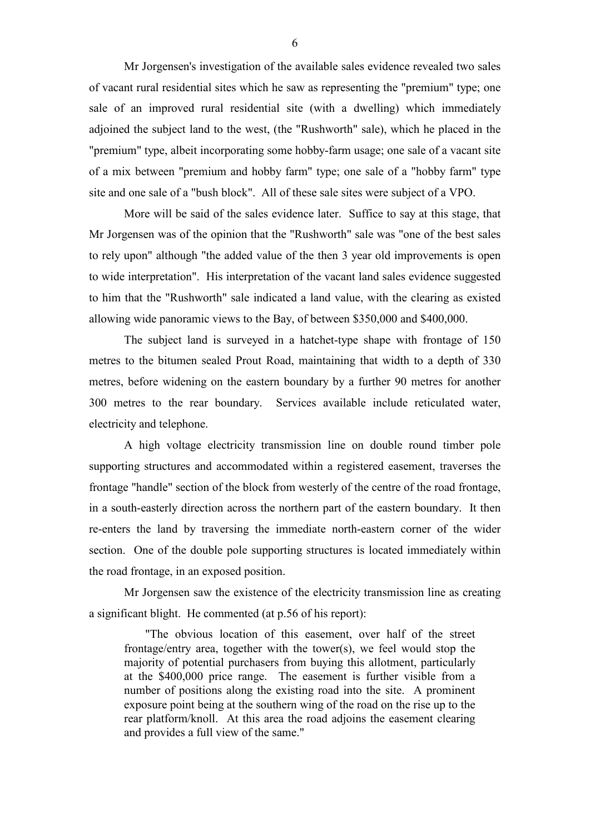Mr Jorgensen's investigation of the available sales evidence revealed two sales of vacant rural residential sites which he saw as representing the "premium" type; one sale of an improved rural residential site (with a dwelling) which immediately adjoined the subject land to the west, (the "Rushworth" sale), which he placed in the "premium" type, albeit incorporating some hobby-farm usage; one sale of a vacant site of a mix between "premium and hobby farm" type; one sale of a "hobby farm" type site and one sale of a "bush block". All of these sale sites were subject of a VPO.

More will be said of the sales evidence later. Suffice to say at this stage, that Mr Jorgensen was of the opinion that the "Rushworth" sale was "one of the best sales to rely upon" although "the added value of the then 3 year old improvements is open to wide interpretation". His interpretation of the vacant land sales evidence suggested to him that the "Rushworth" sale indicated a land value, with the clearing as existed allowing wide panoramic views to the Bay, of between \$350,000 and \$400,000.

The subject land is surveyed in a hatchet-type shape with frontage of 150 metres to the bitumen sealed Prout Road, maintaining that width to a depth of 330 metres, before widening on the eastern boundary by a further 90 metres for another 300 metres to the rear boundary. Services available include reticulated water, electricity and telephone.

A high voltage electricity transmission line on double round timber pole supporting structures and accommodated within a registered easement, traverses the frontage "handle" section of the block from westerly of the centre of the road frontage, in a south-easterly direction across the northern part of the eastern boundary. It then re-enters the land by traversing the immediate north-eastern corner of the wider section. One of the double pole supporting structures is located immediately within the road frontage, in an exposed position.

Mr Jorgensen saw the existence of the electricity transmission line as creating a significant blight. He commented (at p.56 of his report):

"The obvious location of this easement, over half of the street frontage/entry area, together with the tower(s), we feel would stop the majority of potential purchasers from buying this allotment, particularly at the \$400,000 price range. The easement is further visible from a number of positions along the existing road into the site. A prominent exposure point being at the southern wing of the road on the rise up to the rear platform/knoll. At this area the road adjoins the easement clearing and provides a full view of the same."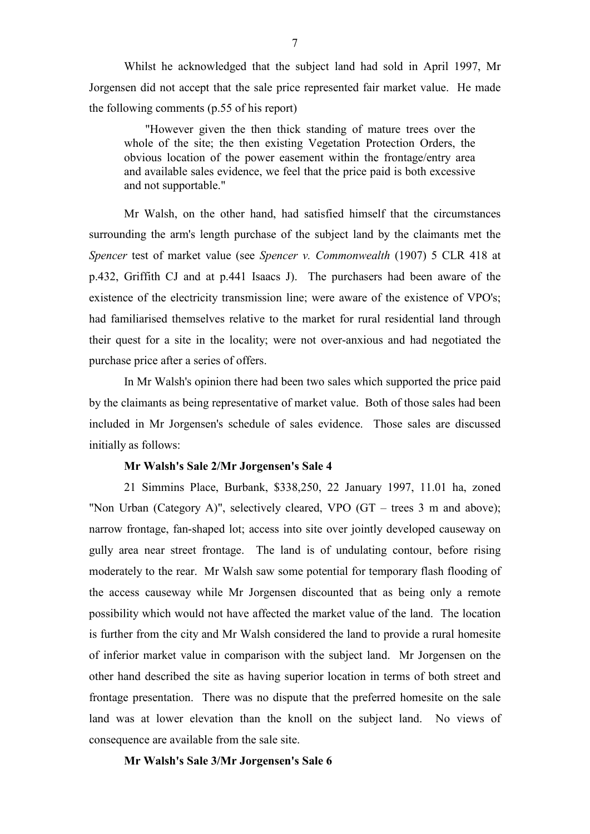Whilst he acknowledged that the subject land had sold in April 1997, Mr Jorgensen did not accept that the sale price represented fair market value. He made the following comments (p.55 of his report)

"However given the then thick standing of mature trees over the whole of the site; the then existing Vegetation Protection Orders, the obvious location of the power easement within the frontage/entry area and available sales evidence, we feel that the price paid is both excessive and not supportable."

Mr Walsh, on the other hand, had satisfied himself that the circumstances surrounding the arm's length purchase of the subject land by the claimants met the *Spencer* test of market value (see *Spencer v. Commonwealth* (1907) 5 CLR 418 at p.432, Griffith CJ and at p.441 Isaacs J). The purchasers had been aware of the existence of the electricity transmission line; were aware of the existence of VPO's; had familiarised themselves relative to the market for rural residential land through their quest for a site in the locality; were not over-anxious and had negotiated the purchase price after a series of offers.

In Mr Walsh's opinion there had been two sales which supported the price paid by the claimants as being representative of market value. Both of those sales had been included in Mr Jorgensen's schedule of sales evidence. Those sales are discussed initially as follows:

### **Mr Walsh's Sale 2/Mr Jorgensen's Sale 4**

21 Simmins Place, Burbank, \$338,250, 22 January 1997, 11.01 ha, zoned "Non Urban (Category A)", selectively cleared, VPO (GT – trees 3 m and above); narrow frontage, fan-shaped lot; access into site over jointly developed causeway on gully area near street frontage. The land is of undulating contour, before rising moderately to the rear. Mr Walsh saw some potential for temporary flash flooding of the access causeway while Mr Jorgensen discounted that as being only a remote possibility which would not have affected the market value of the land. The location is further from the city and Mr Walsh considered the land to provide a rural homesite of inferior market value in comparison with the subject land. Mr Jorgensen on the other hand described the site as having superior location in terms of both street and frontage presentation. There was no dispute that the preferred homesite on the sale land was at lower elevation than the knoll on the subject land. No views of consequence are available from the sale site.

**Mr Walsh's Sale 3/Mr Jorgensen's Sale 6**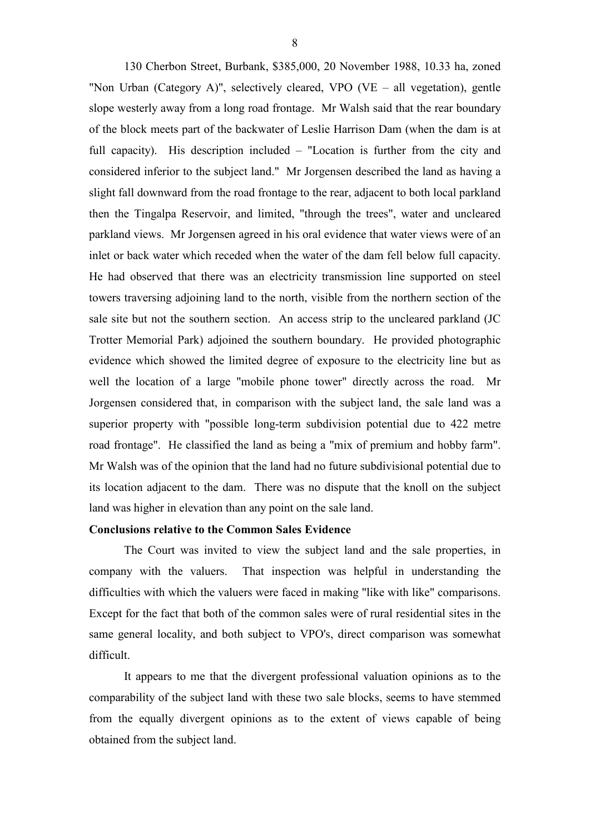130 Cherbon Street, Burbank, \$385,000, 20 November 1988, 10.33 ha, zoned "Non Urban (Category A)", selectively cleared, VPO (VE – all vegetation), gentle slope westerly away from a long road frontage. Mr Walsh said that the rear boundary of the block meets part of the backwater of Leslie Harrison Dam (when the dam is at full capacity). His description included – "Location is further from the city and considered inferior to the subject land." Mr Jorgensen described the land as having a slight fall downward from the road frontage to the rear, adjacent to both local parkland then the Tingalpa Reservoir, and limited, "through the trees", water and uncleared parkland views. Mr Jorgensen agreed in his oral evidence that water views were of an inlet or back water which receded when the water of the dam fell below full capacity. He had observed that there was an electricity transmission line supported on steel towers traversing adjoining land to the north, visible from the northern section of the sale site but not the southern section. An access strip to the uncleared parkland (JC Trotter Memorial Park) adjoined the southern boundary. He provided photographic evidence which showed the limited degree of exposure to the electricity line but as well the location of a large "mobile phone tower" directly across the road. Mr Jorgensen considered that, in comparison with the subject land, the sale land was a superior property with "possible long-term subdivision potential due to 422 metre road frontage". He classified the land as being a "mix of premium and hobby farm". Mr Walsh was of the opinion that the land had no future subdivisional potential due to its location adjacent to the dam. There was no dispute that the knoll on the subject land was higher in elevation than any point on the sale land.

## **Conclusions relative to the Common Sales Evidence**

The Court was invited to view the subject land and the sale properties, in company with the valuers. That inspection was helpful in understanding the difficulties with which the valuers were faced in making "like with like" comparisons. Except for the fact that both of the common sales were of rural residential sites in the same general locality, and both subject to VPO's, direct comparison was somewhat difficult.

It appears to me that the divergent professional valuation opinions as to the comparability of the subject land with these two sale blocks, seems to have stemmed from the equally divergent opinions as to the extent of views capable of being obtained from the subject land.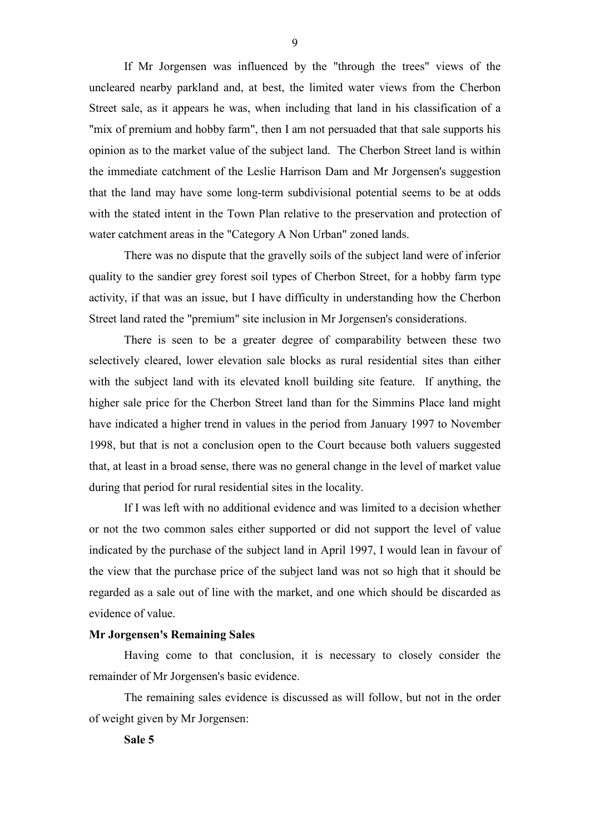If Mr Jorgensen was influenced by the "through the trees" views of the uncleared nearby parkland and, at best, the limited water views from the Cherbon Street sale, as it appears he was, when including that land in his classification of a "mix of premium and hobby farm", then I am not persuaded that that sale supports his opinion as to the market value of the subject land. The Cherbon Street land is within the immediate catchment of the Leslie Harrison Dam and Mr Jorgensen's suggestion that the land may have some long-term subdivisional potential seems to be at odds with the stated intent in the Town Plan relative to the preservation and protection of water catchment areas in the "Category A Non Urban" zoned lands.

There was no dispute that the gravelly soils of the subject land were of inferior quality to the sandier grey forest soil types of Cherbon Street, for a hobby farm type activity, if that was an issue, but I have difficulty in understanding how the Cherbon Street land rated the "premium" site inclusion in Mr Jorgensen's considerations.

There is seen to be a greater degree of comparability between these two selectively cleared, lower elevation sale blocks as rural residential sites than either with the subject land with its elevated knoll building site feature. If anything, the higher sale price for the Cherbon Street land than for the Simmins Place land might have indicated a higher trend in values in the period from January 1997 to November 1998, but that is not a conclusion open to the Court because both valuers suggested that, at least in a broad sense, there was no general change in the level of market value during that period for rural residential sites in the locality.

If I was left with no additional evidence and was limited to a decision whether or not the two common sales either supported or did not support the level of value indicated by the purchase of the subject land in April 1997, I would lean in favour of the view that the purchase price of the subject land was not so high that it should be regarded as a sale out of line with the market, and one which should be discarded as evidence of value.

# **Mr Jorgensen's Remaining Sales**

Having come to that conclusion, it is necessary to closely consider the remainder of Mr Jorgensen's basic evidence.

The remaining sales evidence is discussed as will follow, but not in the order of weight given by Mr Jorgensen:

**Sale 5**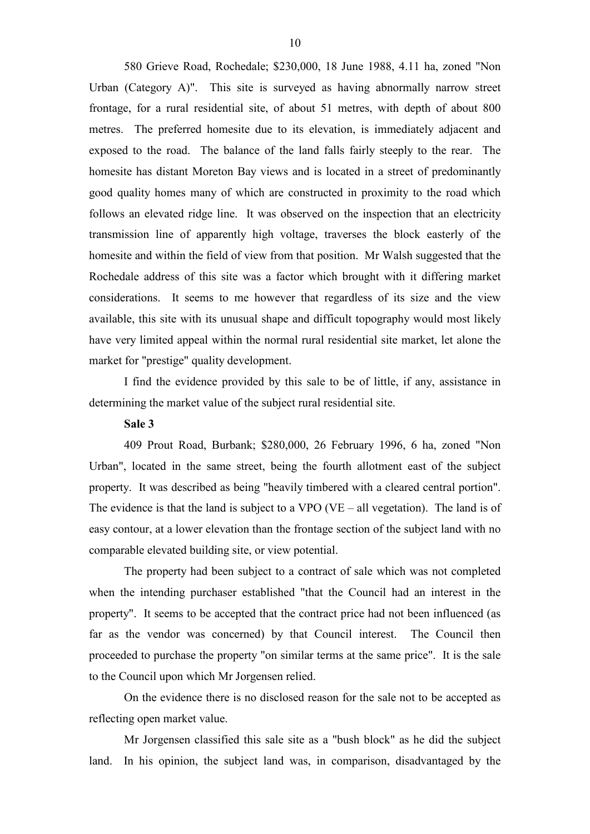580 Grieve Road, Rochedale; \$230,000, 18 June 1988, 4.11 ha, zoned "Non Urban (Category A)". This site is surveyed as having abnormally narrow street frontage, for a rural residential site, of about 51 metres, with depth of about 800 metres. The preferred homesite due to its elevation, is immediately adjacent and exposed to the road. The balance of the land falls fairly steeply to the rear. The homesite has distant Moreton Bay views and is located in a street of predominantly good quality homes many of which are constructed in proximity to the road which follows an elevated ridge line. It was observed on the inspection that an electricity transmission line of apparently high voltage, traverses the block easterly of the homesite and within the field of view from that position. Mr Walsh suggested that the Rochedale address of this site was a factor which brought with it differing market considerations. It seems to me however that regardless of its size and the view available, this site with its unusual shape and difficult topography would most likely have very limited appeal within the normal rural residential site market, let alone the market for "prestige" quality development.

I find the evidence provided by this sale to be of little, if any, assistance in determining the market value of the subject rural residential site.

### **Sale 3**

409 Prout Road, Burbank; \$280,000, 26 February 1996, 6 ha, zoned "Non Urban", located in the same street, being the fourth allotment east of the subject property. It was described as being "heavily timbered with a cleared central portion". The evidence is that the land is subject to a VPO (VE – all vegetation). The land is of easy contour, at a lower elevation than the frontage section of the subject land with no comparable elevated building site, or view potential.

The property had been subject to a contract of sale which was not completed when the intending purchaser established "that the Council had an interest in the property". It seems to be accepted that the contract price had not been influenced (as far as the vendor was concerned) by that Council interest. The Council then proceeded to purchase the property "on similar terms at the same price". It is the sale to the Council upon which Mr Jorgensen relied.

On the evidence there is no disclosed reason for the sale not to be accepted as reflecting open market value.

Mr Jorgensen classified this sale site as a "bush block" as he did the subject land. In his opinion, the subject land was, in comparison, disadvantaged by the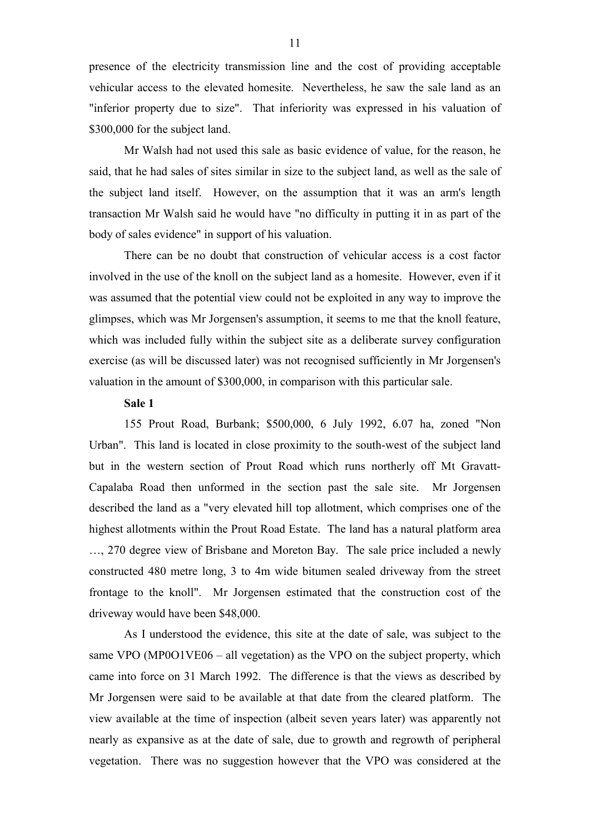presence of the electricity transmission line and the cost of providing acceptable vehicular access to the elevated homesite. Nevertheless, he saw the sale land as an "inferior property due to size". That inferiority was expressed in his valuation of \$300,000 for the subject land.

Mr Walsh had not used this sale as basic evidence of value, for the reason, he said, that he had sales of sites similar in size to the subject land, as well as the sale of the subject land itself. However, on the assumption that it was an arm's length transaction Mr Walsh said he would have "no difficulty in putting it in as part of the body of sales evidence" in support of his valuation.

There can be no doubt that construction of vehicular access is a cost factor involved in the use of the knoll on the subject land as a homesite. However, even if it was assumed that the potential view could not be exploited in any way to improve the glimpses, which was Mr Jorgensen's assumption, it seems to me that the knoll feature, which was included fully within the subject site as a deliberate survey configuration exercise (as will be discussed later) was not recognised sufficiently in Mr Jorgensen's valuation in the amount of \$300,000, in comparison with this particular sale.

## **Sale 1**

155 Prout Road, Burbank; \$500,000, 6 July 1992, 6.07 ha, zoned "Non Urban". This land is located in close proximity to the south-west of the subject land but in the western section of Prout Road which runs northerly off Mt Gravatt-Capalaba Road then unformed in the section past the sale site. Mr Jorgensen described the land as a "very elevated hill top allotment, which comprises one of the highest allotments within the Prout Road Estate. The land has a natural platform area …, 270 degree view of Brisbane and Moreton Bay. The sale price included a newly constructed 480 metre long, 3 to 4m wide bitumen sealed driveway from the street frontage to the knoll". Mr Jorgensen estimated that the construction cost of the driveway would have been \$48,000.

As I understood the evidence, this site at the date of sale, was subject to the same VPO (MP0O1VE06 – all vegetation) as the VPO on the subject property, which came into force on 31 March 1992. The difference is that the views as described by Mr Jorgensen were said to be available at that date from the cleared platform. The view available at the time of inspection (albeit seven years later) was apparently not nearly as expansive as at the date of sale, due to growth and regrowth of peripheral vegetation. There was no suggestion however that the VPO was considered at the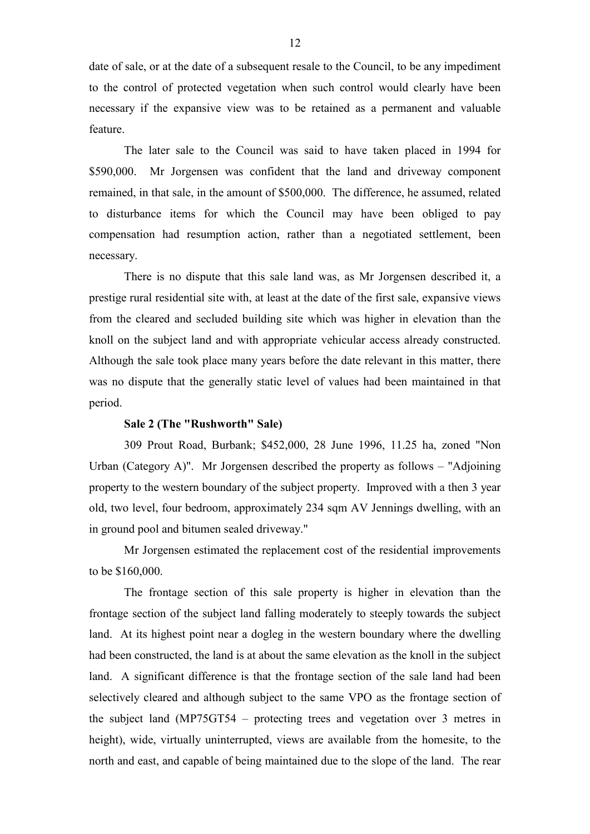date of sale, or at the date of a subsequent resale to the Council, to be any impediment to the control of protected vegetation when such control would clearly have been necessary if the expansive view was to be retained as a permanent and valuable feature.

The later sale to the Council was said to have taken placed in 1994 for \$590,000. Mr Jorgensen was confident that the land and driveway component remained, in that sale, in the amount of \$500,000. The difference, he assumed, related to disturbance items for which the Council may have been obliged to pay compensation had resumption action, rather than a negotiated settlement, been necessary.

There is no dispute that this sale land was, as Mr Jorgensen described it, a prestige rural residential site with, at least at the date of the first sale, expansive views from the cleared and secluded building site which was higher in elevation than the knoll on the subject land and with appropriate vehicular access already constructed. Although the sale took place many years before the date relevant in this matter, there was no dispute that the generally static level of values had been maintained in that period.

### **Sale 2 (The "Rushworth" Sale)**

309 Prout Road, Burbank; \$452,000, 28 June 1996, 11.25 ha, zoned "Non Urban (Category A)". Mr Jorgensen described the property as follows – "Adjoining property to the western boundary of the subject property. Improved with a then 3 year old, two level, four bedroom, approximately 234 sqm AV Jennings dwelling, with an in ground pool and bitumen sealed driveway."

Mr Jorgensen estimated the replacement cost of the residential improvements to be \$160,000.

The frontage section of this sale property is higher in elevation than the frontage section of the subject land falling moderately to steeply towards the subject land. At its highest point near a dogleg in the western boundary where the dwelling had been constructed, the land is at about the same elevation as the knoll in the subject land. A significant difference is that the frontage section of the sale land had been selectively cleared and although subject to the same VPO as the frontage section of the subject land (MP75GT54 – protecting trees and vegetation over 3 metres in height), wide, virtually uninterrupted, views are available from the homesite, to the north and east, and capable of being maintained due to the slope of the land. The rear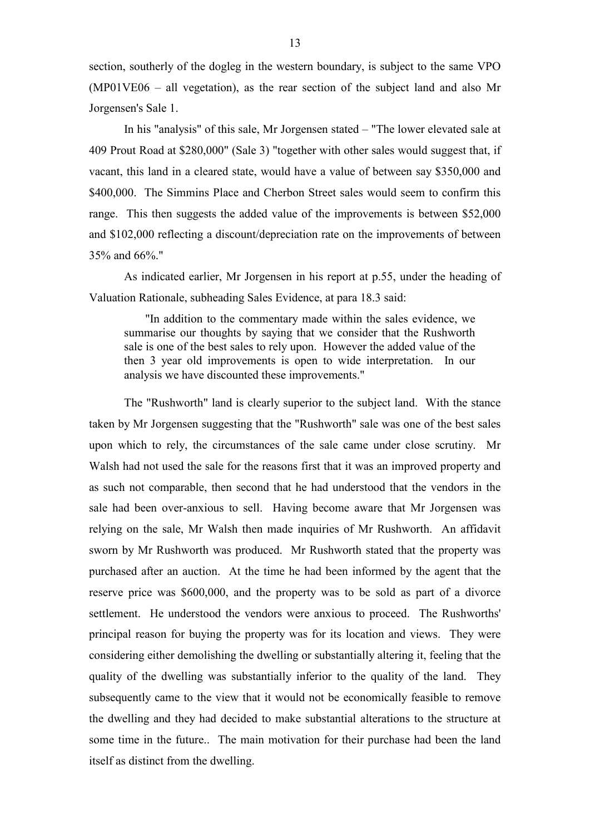section, southerly of the dogleg in the western boundary, is subject to the same VPO (MP01VE06 – all vegetation), as the rear section of the subject land and also Mr Jorgensen's Sale 1.

In his "analysis" of this sale, Mr Jorgensen stated – "The lower elevated sale at 409 Prout Road at \$280,000" (Sale 3) "together with other sales would suggest that, if vacant, this land in a cleared state, would have a value of between say \$350,000 and \$400,000. The Simmins Place and Cherbon Street sales would seem to confirm this range. This then suggests the added value of the improvements is between \$52,000 and \$102,000 reflecting a discount/depreciation rate on the improvements of between 35% and 66%."

As indicated earlier, Mr Jorgensen in his report at p.55, under the heading of Valuation Rationale, subheading Sales Evidence, at para 18.3 said:

"In addition to the commentary made within the sales evidence, we summarise our thoughts by saying that we consider that the Rushworth sale is one of the best sales to rely upon. However the added value of the then 3 year old improvements is open to wide interpretation. In our analysis we have discounted these improvements."

The "Rushworth" land is clearly superior to the subject land. With the stance taken by Mr Jorgensen suggesting that the "Rushworth" sale was one of the best sales upon which to rely, the circumstances of the sale came under close scrutiny. Mr Walsh had not used the sale for the reasons first that it was an improved property and as such not comparable, then second that he had understood that the vendors in the sale had been over-anxious to sell. Having become aware that Mr Jorgensen was relying on the sale, Mr Walsh then made inquiries of Mr Rushworth. An affidavit sworn by Mr Rushworth was produced. Mr Rushworth stated that the property was purchased after an auction. At the time he had been informed by the agent that the reserve price was \$600,000, and the property was to be sold as part of a divorce settlement. He understood the vendors were anxious to proceed. The Rushworths' principal reason for buying the property was for its location and views. They were considering either demolishing the dwelling or substantially altering it, feeling that the quality of the dwelling was substantially inferior to the quality of the land. They subsequently came to the view that it would not be economically feasible to remove the dwelling and they had decided to make substantial alterations to the structure at some time in the future.. The main motivation for their purchase had been the land itself as distinct from the dwelling.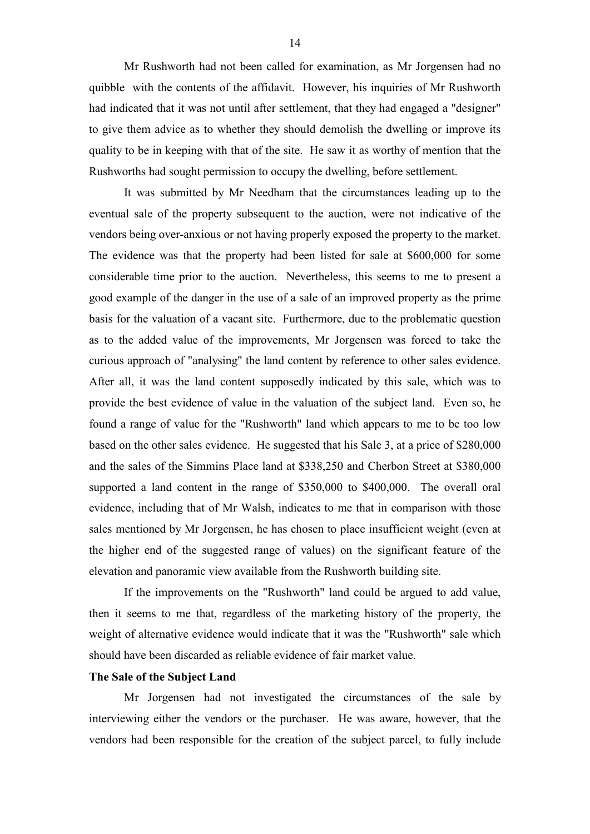Mr Rushworth had not been called for examination, as Mr Jorgensen had no quibble with the contents of the affidavit. However, his inquiries of Mr Rushworth had indicated that it was not until after settlement, that they had engaged a "designer" to give them advice as to whether they should demolish the dwelling or improve its quality to be in keeping with that of the site. He saw it as worthy of mention that the Rushworths had sought permission to occupy the dwelling, before settlement.

It was submitted by Mr Needham that the circumstances leading up to the eventual sale of the property subsequent to the auction, were not indicative of the vendors being over-anxious or not having properly exposed the property to the market. The evidence was that the property had been listed for sale at \$600,000 for some considerable time prior to the auction. Nevertheless, this seems to me to present a good example of the danger in the use of a sale of an improved property as the prime basis for the valuation of a vacant site. Furthermore, due to the problematic question as to the added value of the improvements, Mr Jorgensen was forced to take the curious approach of "analysing" the land content by reference to other sales evidence. After all, it was the land content supposedly indicated by this sale, which was to provide the best evidence of value in the valuation of the subject land. Even so, he found a range of value for the "Rushworth" land which appears to me to be too low based on the other sales evidence. He suggested that his Sale 3, at a price of \$280,000 and the sales of the Simmins Place land at \$338,250 and Cherbon Street at \$380,000 supported a land content in the range of \$350,000 to \$400,000. The overall oral evidence, including that of Mr Walsh, indicates to me that in comparison with those sales mentioned by Mr Jorgensen, he has chosen to place insufficient weight (even at the higher end of the suggested range of values) on the significant feature of the elevation and panoramic view available from the Rushworth building site.

If the improvements on the "Rushworth" land could be argued to add value, then it seems to me that, regardless of the marketing history of the property, the weight of alternative evidence would indicate that it was the "Rushworth" sale which should have been discarded as reliable evidence of fair market value.

## **The Sale of the Subject Land**

Mr Jorgensen had not investigated the circumstances of the sale by interviewing either the vendors or the purchaser. He was aware, however, that the vendors had been responsible for the creation of the subject parcel, to fully include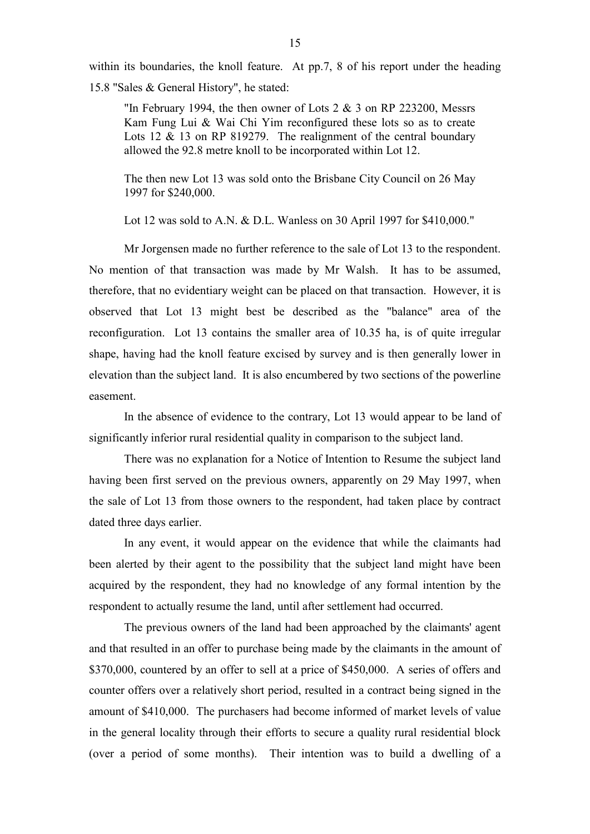within its boundaries, the knoll feature. At pp.7, 8 of his report under the heading 15.8 "Sales & General History", he stated:

"In February 1994, the then owner of Lots  $2 \& 3$  on RP 223200, Messrs Kam Fung Lui & Wai Chi Yim reconfigured these lots so as to create Lots 12 & 13 on RP 819279. The realignment of the central boundary allowed the 92.8 metre knoll to be incorporated within Lot 12.

The then new Lot 13 was sold onto the Brisbane City Council on 26 May 1997 for \$240,000.

Lot 12 was sold to A.N. & D.L. Wanless on 30 April 1997 for \$410,000."

Mr Jorgensen made no further reference to the sale of Lot 13 to the respondent. No mention of that transaction was made by Mr Walsh. It has to be assumed, therefore, that no evidentiary weight can be placed on that transaction. However, it is observed that Lot 13 might best be described as the "balance" area of the reconfiguration. Lot 13 contains the smaller area of 10.35 ha, is of quite irregular shape, having had the knoll feature excised by survey and is then generally lower in elevation than the subject land. It is also encumbered by two sections of the powerline easement.

In the absence of evidence to the contrary, Lot 13 would appear to be land of significantly inferior rural residential quality in comparison to the subject land.

There was no explanation for a Notice of Intention to Resume the subject land having been first served on the previous owners, apparently on 29 May 1997, when the sale of Lot 13 from those owners to the respondent, had taken place by contract dated three days earlier.

In any event, it would appear on the evidence that while the claimants had been alerted by their agent to the possibility that the subject land might have been acquired by the respondent, they had no knowledge of any formal intention by the respondent to actually resume the land, until after settlement had occurred.

The previous owners of the land had been approached by the claimants' agent and that resulted in an offer to purchase being made by the claimants in the amount of \$370,000, countered by an offer to sell at a price of \$450,000. A series of offers and counter offers over a relatively short period, resulted in a contract being signed in the amount of \$410,000. The purchasers had become informed of market levels of value in the general locality through their efforts to secure a quality rural residential block (over a period of some months). Their intention was to build a dwelling of a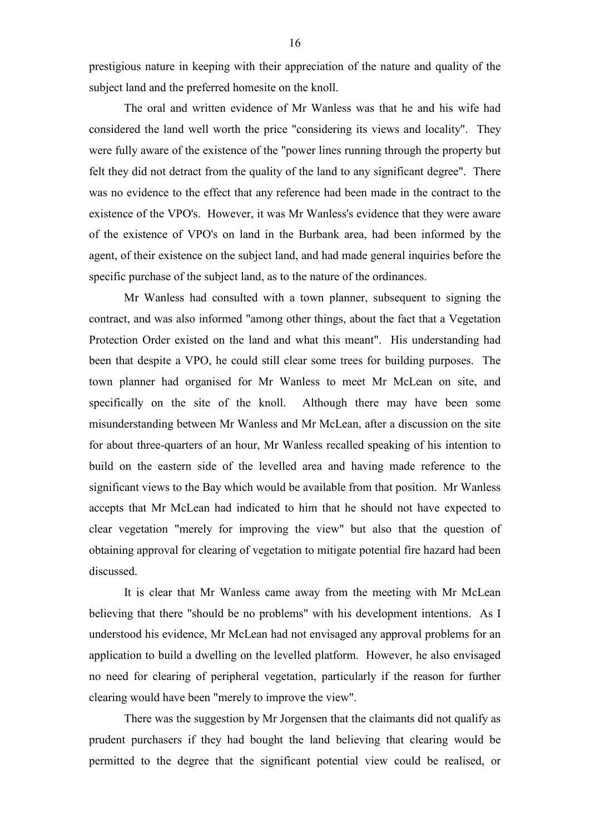prestigious nature in keeping with their appreciation of the nature and quality of the subject land and the preferred homesite on the knoll.

The oral and written evidence of Mr Wanless was that he and his wife had considered the land well worth the price "considering its views and locality". They were fully aware of the existence of the "power lines running through the property but felt they did not detract from the quality of the land to any significant degree". There was no evidence to the effect that any reference had been made in the contract to the existence of the VPO's. However, it was Mr Wanless's evidence that they were aware of the existence of VPO's on land in the Burbank area, had been informed by the agent, of their existence on the subject land, and had made general inquiries before the specific purchase of the subject land, as to the nature of the ordinances.

Mr Wanless had consulted with a town planner, subsequent to signing the contract, and was also informed "among other things, about the fact that a Vegetation Protection Order existed on the land and what this meant". His understanding had been that despite a VPO, he could still clear some trees for building purposes. The town planner had organised for Mr Wanless to meet Mr McLean on site, and specifically on the site of the knoll. Although there may have been some misunderstanding between Mr Wanless and Mr McLean, after a discussion on the site for about three-quarters of an hour, Mr Wanless recalled speaking of his intention to build on the eastern side of the levelled area and having made reference to the significant views to the Bay which would be available from that position. Mr Wanless accepts that Mr McLean had indicated to him that he should not have expected to clear vegetation "merely for improving the view" but also that the question of obtaining approval for clearing of vegetation to mitigate potential fire hazard had been discussed.

It is clear that Mr Wanless came away from the meeting with Mr McLean believing that there "should be no problems" with his development intentions. As I understood his evidence, Mr McLean had not envisaged any approval problems for an application to build a dwelling on the levelled platform. However, he also envisaged no need for clearing of peripheral vegetation, particularly if the reason for further clearing would have been "merely to improve the view".

There was the suggestion by Mr Jorgensen that the claimants did not qualify as prudent purchasers if they had bought the land believing that clearing would be permitted to the degree that the significant potential view could be realised, or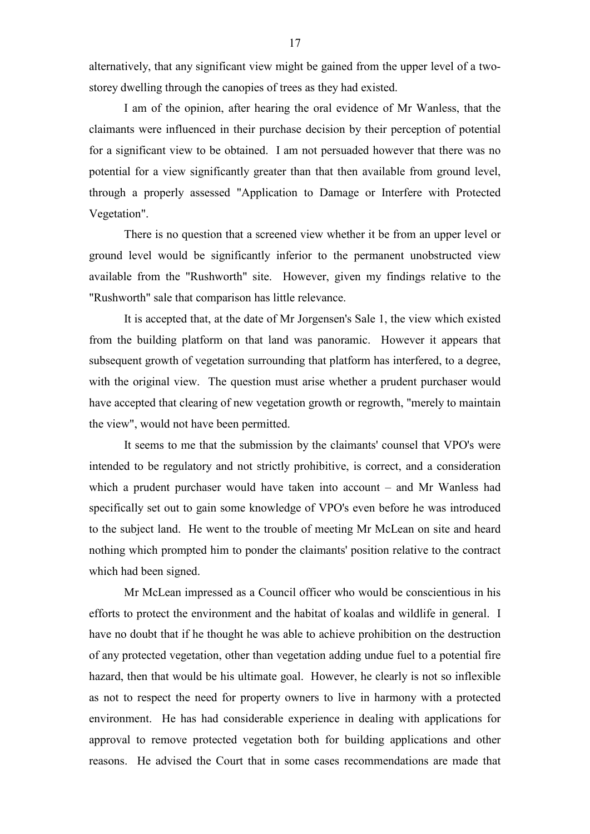alternatively, that any significant view might be gained from the upper level of a twostorey dwelling through the canopies of trees as they had existed.

I am of the opinion, after hearing the oral evidence of Mr Wanless, that the claimants were influenced in their purchase decision by their perception of potential for a significant view to be obtained. I am not persuaded however that there was no potential for a view significantly greater than that then available from ground level, through a properly assessed "Application to Damage or Interfere with Protected Vegetation".

There is no question that a screened view whether it be from an upper level or ground level would be significantly inferior to the permanent unobstructed view available from the "Rushworth" site. However, given my findings relative to the "Rushworth" sale that comparison has little relevance.

It is accepted that, at the date of Mr Jorgensen's Sale 1, the view which existed from the building platform on that land was panoramic. However it appears that subsequent growth of vegetation surrounding that platform has interfered, to a degree, with the original view. The question must arise whether a prudent purchaser would have accepted that clearing of new vegetation growth or regrowth, "merely to maintain the view", would not have been permitted.

It seems to me that the submission by the claimants' counsel that VPO's were intended to be regulatory and not strictly prohibitive, is correct, and a consideration which a prudent purchaser would have taken into account – and Mr Wanless had specifically set out to gain some knowledge of VPO's even before he was introduced to the subject land. He went to the trouble of meeting Mr McLean on site and heard nothing which prompted him to ponder the claimants' position relative to the contract which had been signed.

Mr McLean impressed as a Council officer who would be conscientious in his efforts to protect the environment and the habitat of koalas and wildlife in general. I have no doubt that if he thought he was able to achieve prohibition on the destruction of any protected vegetation, other than vegetation adding undue fuel to a potential fire hazard, then that would be his ultimate goal. However, he clearly is not so inflexible as not to respect the need for property owners to live in harmony with a protected environment. He has had considerable experience in dealing with applications for approval to remove protected vegetation both for building applications and other reasons. He advised the Court that in some cases recommendations are made that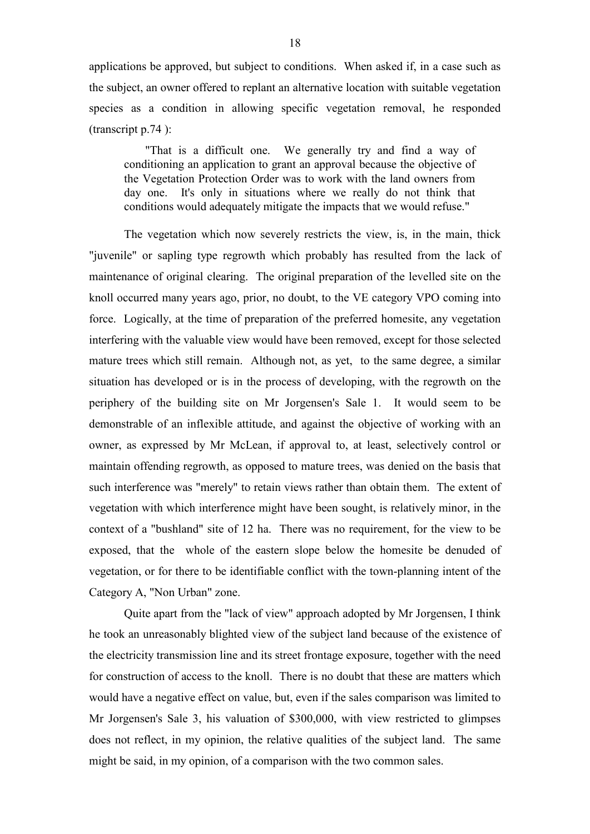applications be approved, but subject to conditions. When asked if, in a case such as the subject, an owner offered to replant an alternative location with suitable vegetation species as a condition in allowing specific vegetation removal, he responded (transcript p.74 ):

"That is a difficult one. We generally try and find a way of conditioning an application to grant an approval because the objective of the Vegetation Protection Order was to work with the land owners from day one. It's only in situations where we really do not think that conditions would adequately mitigate the impacts that we would refuse."

The vegetation which now severely restricts the view, is, in the main, thick "juvenile" or sapling type regrowth which probably has resulted from the lack of maintenance of original clearing. The original preparation of the levelled site on the knoll occurred many years ago, prior, no doubt, to the VE category VPO coming into force. Logically, at the time of preparation of the preferred homesite, any vegetation interfering with the valuable view would have been removed, except for those selected mature trees which still remain. Although not, as yet, to the same degree, a similar situation has developed or is in the process of developing, with the regrowth on the periphery of the building site on Mr Jorgensen's Sale 1. It would seem to be demonstrable of an inflexible attitude, and against the objective of working with an owner, as expressed by Mr McLean, if approval to, at least, selectively control or maintain offending regrowth, as opposed to mature trees, was denied on the basis that such interference was "merely" to retain views rather than obtain them. The extent of vegetation with which interference might have been sought, is relatively minor, in the context of a "bushland" site of 12 ha. There was no requirement, for the view to be exposed, that the whole of the eastern slope below the homesite be denuded of vegetation, or for there to be identifiable conflict with the town-planning intent of the Category A, "Non Urban" zone.

Quite apart from the "lack of view" approach adopted by Mr Jorgensen, I think he took an unreasonably blighted view of the subject land because of the existence of the electricity transmission line and its street frontage exposure, together with the need for construction of access to the knoll. There is no doubt that these are matters which would have a negative effect on value, but, even if the sales comparison was limited to Mr Jorgensen's Sale 3, his valuation of \$300,000, with view restricted to glimpses does not reflect, in my opinion, the relative qualities of the subject land. The same might be said, in my opinion, of a comparison with the two common sales.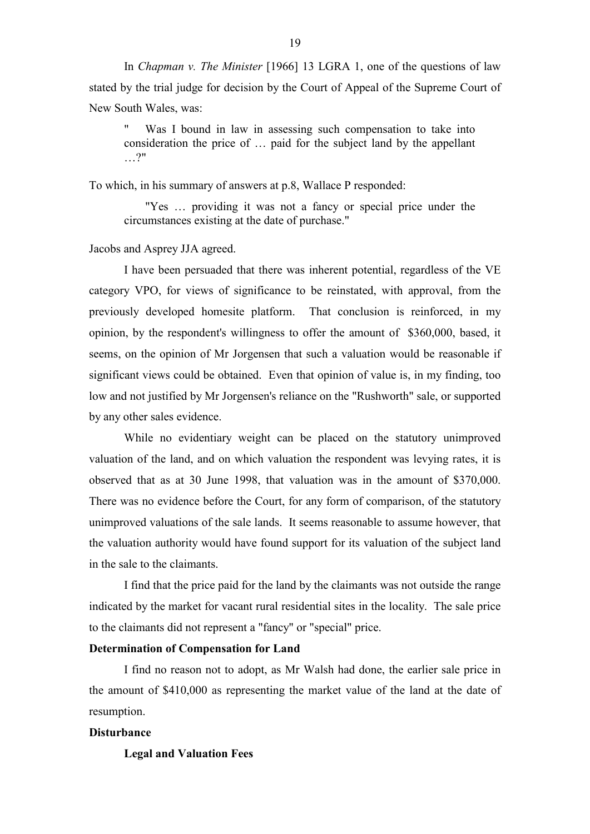In *Chapman v. The Minister* [1966] 13 LGRA 1, one of the questions of law stated by the trial judge for decision by the Court of Appeal of the Supreme Court of New South Wales, was:

Was I bound in law in assessing such compensation to take into consideration the price of … paid for the subject land by the appellant …?"

To which, in his summary of answers at p.8, Wallace P responded:

"Yes … providing it was not a fancy or special price under the circumstances existing at the date of purchase."

Jacobs and Asprey JJA agreed.

I have been persuaded that there was inherent potential, regardless of the VE category VPO, for views of significance to be reinstated, with approval, from the previously developed homesite platform. That conclusion is reinforced, in my opinion, by the respondent's willingness to offer the amount of \$360,000, based, it seems, on the opinion of Mr Jorgensen that such a valuation would be reasonable if significant views could be obtained. Even that opinion of value is, in my finding, too low and not justified by Mr Jorgensen's reliance on the "Rushworth" sale, or supported by any other sales evidence.

While no evidentiary weight can be placed on the statutory unimproved valuation of the land, and on which valuation the respondent was levying rates, it is observed that as at 30 June 1998, that valuation was in the amount of \$370,000. There was no evidence before the Court, for any form of comparison, of the statutory unimproved valuations of the sale lands. It seems reasonable to assume however, that the valuation authority would have found support for its valuation of the subject land in the sale to the claimants.

I find that the price paid for the land by the claimants was not outside the range indicated by the market for vacant rural residential sites in the locality. The sale price to the claimants did not represent a "fancy" or "special" price.

# **Determination of Compensation for Land**

I find no reason not to adopt, as Mr Walsh had done, the earlier sale price in the amount of \$410,000 as representing the market value of the land at the date of resumption.

# **Disturbance**

**Legal and Valuation Fees**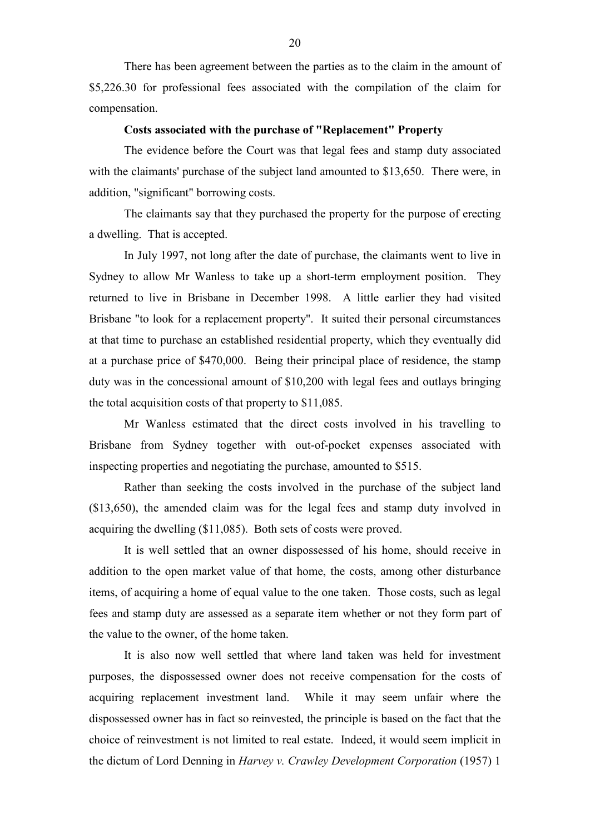There has been agreement between the parties as to the claim in the amount of \$5,226.30 for professional fees associated with the compilation of the claim for compensation.

# **Costs associated with the purchase of "Replacement" Property**

The evidence before the Court was that legal fees and stamp duty associated with the claimants' purchase of the subject land amounted to \$13,650. There were, in addition, "significant" borrowing costs.

The claimants say that they purchased the property for the purpose of erecting a dwelling. That is accepted.

In July 1997, not long after the date of purchase, the claimants went to live in Sydney to allow Mr Wanless to take up a short-term employment position. They returned to live in Brisbane in December 1998. A little earlier they had visited Brisbane "to look for a replacement property". It suited their personal circumstances at that time to purchase an established residential property, which they eventually did at a purchase price of \$470,000. Being their principal place of residence, the stamp duty was in the concessional amount of \$10,200 with legal fees and outlays bringing the total acquisition costs of that property to \$11,085.

Mr Wanless estimated that the direct costs involved in his travelling to Brisbane from Sydney together with out-of-pocket expenses associated with inspecting properties and negotiating the purchase, amounted to \$515.

Rather than seeking the costs involved in the purchase of the subject land (\$13,650), the amended claim was for the legal fees and stamp duty involved in acquiring the dwelling (\$11,085). Both sets of costs were proved.

It is well settled that an owner dispossessed of his home, should receive in addition to the open market value of that home, the costs, among other disturbance items, of acquiring a home of equal value to the one taken. Those costs, such as legal fees and stamp duty are assessed as a separate item whether or not they form part of the value to the owner, of the home taken.

It is also now well settled that where land taken was held for investment purposes, the dispossessed owner does not receive compensation for the costs of acquiring replacement investment land. While it may seem unfair where the dispossessed owner has in fact so reinvested, the principle is based on the fact that the choice of reinvestment is not limited to real estate. Indeed, it would seem implicit in the dictum of Lord Denning in *Harvey v. Crawley Development Corporation* (1957) 1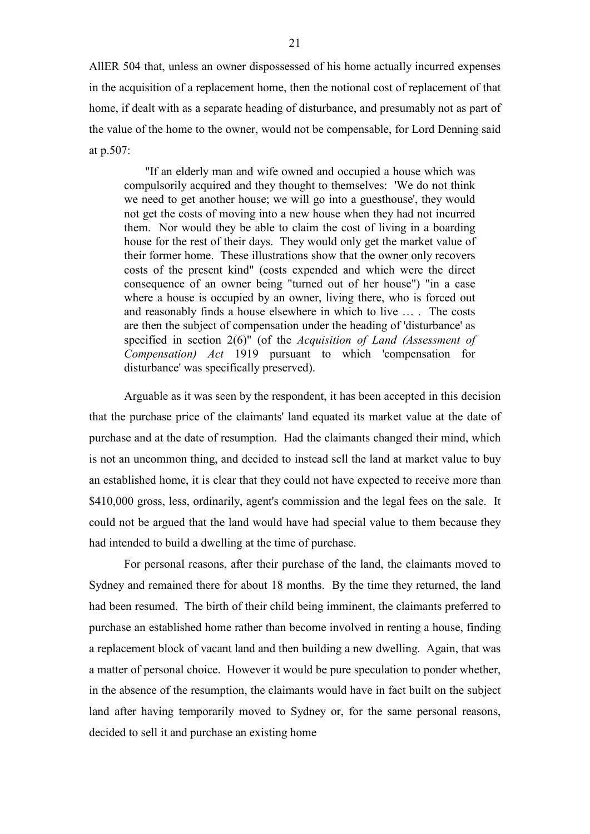AllER 504 that, unless an owner dispossessed of his home actually incurred expenses in the acquisition of a replacement home, then the notional cost of replacement of that home, if dealt with as a separate heading of disturbance, and presumably not as part of the value of the home to the owner, would not be compensable, for Lord Denning said at p.507:

"If an elderly man and wife owned and occupied a house which was compulsorily acquired and they thought to themselves: 'We do not think we need to get another house; we will go into a guesthouse', they would not get the costs of moving into a new house when they had not incurred them. Nor would they be able to claim the cost of living in a boarding house for the rest of their days. They would only get the market value of their former home. These illustrations show that the owner only recovers costs of the present kind" (costs expended and which were the direct consequence of an owner being "turned out of her house") "in a case where a house is occupied by an owner, living there, who is forced out and reasonably finds a house elsewhere in which to live … . The costs are then the subject of compensation under the heading of 'disturbance' as specified in section 2(6)" (of the *Acquisition of Land (Assessment of Compensation) Act* 1919 pursuant to which 'compensation for disturbance' was specifically preserved).

Arguable as it was seen by the respondent, it has been accepted in this decision that the purchase price of the claimants' land equated its market value at the date of purchase and at the date of resumption. Had the claimants changed their mind, which is not an uncommon thing, and decided to instead sell the land at market value to buy an established home, it is clear that they could not have expected to receive more than \$410,000 gross, less, ordinarily, agent's commission and the legal fees on the sale. It could not be argued that the land would have had special value to them because they had intended to build a dwelling at the time of purchase.

For personal reasons, after their purchase of the land, the claimants moved to Sydney and remained there for about 18 months. By the time they returned, the land had been resumed. The birth of their child being imminent, the claimants preferred to purchase an established home rather than become involved in renting a house, finding a replacement block of vacant land and then building a new dwelling. Again, that was a matter of personal choice. However it would be pure speculation to ponder whether, in the absence of the resumption, the claimants would have in fact built on the subject land after having temporarily moved to Sydney or, for the same personal reasons, decided to sell it and purchase an existing home